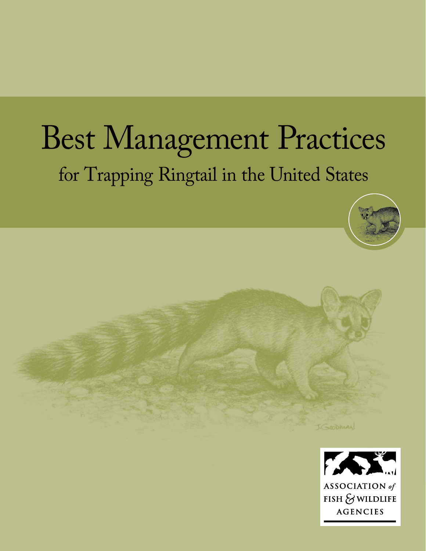# Best Management Practices for Trapping Ringtail in the United States





J. SOODMAN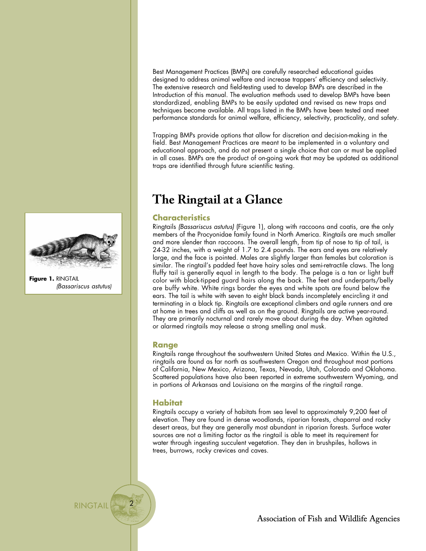**Figure 1.** RINGTAIL *(Bassariscus astutus)* Best Management Practices (BMPs) are carefully researched educational guides designed to address animal welfare and increase trappers' efficiency and selectivity. The extensive research and field-testing used to develop BMPs are described in the Introduction of this manual. The evaluation methods used to develop BMPs have been standardized, enabling BMPs to be easily updated and revised as new traps and techniques become available. All traps listed in the BMPs have been tested and meet performance standards for animal welfare, efficiency, selectivity, practicality, and safety.

Trapping BMPs provide options that allow for discretion and decision-making in the field. Best Management Practices are meant to be implemented in a voluntary and educational approach, and do not present a single choice that can or must be applied in all cases. BMPs are the product of on-going work that may be updated as additional traps are identified through future scientific testing.

# **The Ringtail at a Glance**

# **Characteristics**

Ringtails *(Bassariscus astutus)* (Figure 1), along with raccoons and coatis, are the only members of the Procyonidae family found in North America. Ringtails are much smaller and more slender than raccoons. The overall length, from tip of nose to tip of tail, is 24-32 inches, with a weight of 1.7 to 2.4 pounds. The ears and eyes are relatively large, and the face is pointed. Males are slightly larger than females but coloration is similar. The ringtail's padded feet have hairy soles and semi-retractile claws. The long fluffy tail is generally equal in length to the body. The pelage is a tan or light buff color with black-tipped guard hairs along the back. The feet and underparts/belly are buffy white. White rings border the eyes and white spots are found below the ears. The tail is white with seven to eight black bands incompletely encircling it and terminating in a black tip. Ringtails are exceptional climbers and agile runners and are at home in trees and cliffs as well as on the ground. Ringtails are active year-round. They are primarily nocturnal and rarely move about during the day. When agitated or alarmed ringtails may release a strong smelling anal musk.

## **Range**

Ringtails range throughout the southwestern United States and Mexico. Within the U.S., ringtails are found as far north as southwestern Oregon and throughout most portions of California, New Mexico, Arizona, Texas, Nevada, Utah, Colorado and Oklahoma. Scattered populations have also been reported in extreme southwestern Wyoming, and in portions of Arkansas and Louisiana on the margins of the ringtail range.

# **Habitat**

Ringtails occupy a variety of habitats from sea level to approximately 9,200 feet of elevation. They are found in dense woodlands, riparian forests, chaparral and rocky desert areas, but they are generally most abundant in riparian forests. Surface water sources are not a limiting factor as the ringtail is able to meet its requirement for water through ingesting succulent vegetation. They den in brushpiles, hollows in trees, burrows, rocky crevices and caves.



Association of Fish and Wildlife Agencies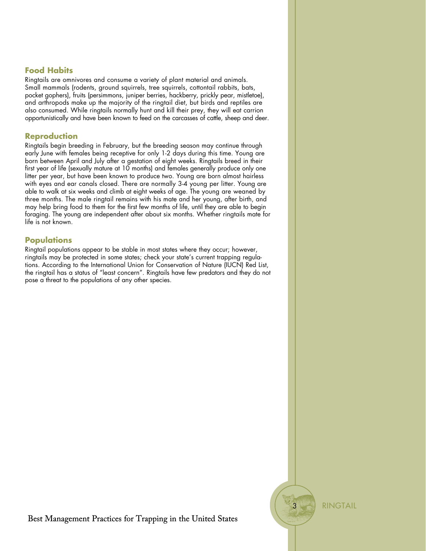# **Food Habits**

Ringtails are omnivores and consume a variety of plant material and animals. Small mammals (rodents, ground squirrels, tree squirrels, cottontail rabbits, bats, pocket gophers), fruits (persimmons, juniper berries, hackberry, prickly pear, mistletoe), and arthropods make up the majority of the ringtail diet, but birds and reptiles are also consumed. While ringtails normally hunt and kill their prey, they will eat carrion opportunistically and have been known to feed on the carcasses of cattle, sheep and deer.

### **Reproduction**

Ringtails begin breeding in February, but the breeding season may continue through early June with females being receptive for only 1-2 days during this time. Young are born between April and July after a gestation of eight weeks. Ringtails breed in their first year of life (sexually mature at 10 months) and females generally produce only one litter per year, but have been known to produce two. Young are born almost hairless with eyes and ear canals closed. There are normally 3-4 young per litter. Young are able to walk at six weeks and climb at eight weeks of age. The young are weaned by three months. The male ringtail remains with his mate and her young, after birth, and may help bring food to them for the first few months of life, until they are able to begin foraging. The young are independent after about six months. Whether ringtails mate for life is not known.

## **Populations**

Ringtail populations appear to be stable in most states where they occur; however, ringtails may be protected in some states; check your state's current trapping regulations. According to the International Union for Conservation of Nature (IUCN) Red List, the ringtail has a status of "least concern". Ringtails have few predators and they do not pose a threat to the populations of any other species.

**RINGTAIL** 

3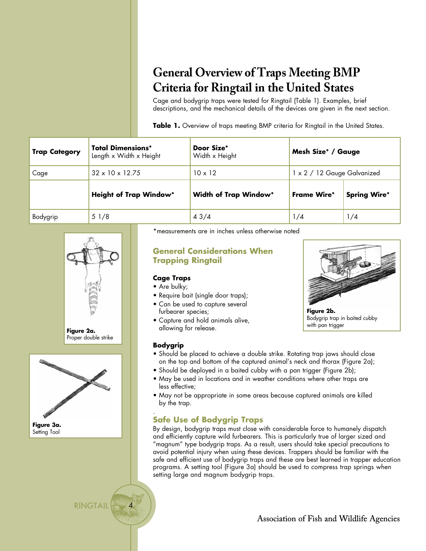# **General Overview of Traps Meeting BMP Criteria for Ringtail in the United States**

Cage and bodygrip traps were tested for Ringtail (Table 1). Examples, brief descriptions, and the mechanical details of the devices are given in the next section.

Table 1. Overview of traps meeting BMP criteria for Ringtail in the United States.

| <b>Trap Category</b> | <b>Total Dimensions*</b><br>Length x Width x Height | Door Size*<br>Width x Height | Mesh Size <sup>*</sup> / Gauge |                     |
|----------------------|-----------------------------------------------------|------------------------------|--------------------------------|---------------------|
| Cage                 | $32 \times 10 \times 12.75$                         | $10 \times 12$               | 1 x 2 / 12 Gauge Galvanized    |                     |
|                      | <b>Height of Trap Window*</b>                       | <b>Width of Trap Window*</b> | <b>Frame Wire*</b>             | <b>Spring Wire*</b> |
| Bodygrip             | 51/8                                                | 43/4                         | 1/4                            | 1/4                 |







RINGTAIL

4

\*measurements are in inches unless otherwise noted

# **General Considerations When Trapping Ringtail**

# **Cage Traps**

- Are bulky;
- Require bait (single door traps);
- Can be used to capture several furbearer species;
- Capture and hold animals alive, allowing for release.



**Figure 2b.** Bodygrip trap in baited cubby with pan trigger

## **Bodygrip**

- Should be placed to achieve a double strike. Rotating trap jaws should close on the top and bottom of the captured animal's neck and thorax (Figure 2a);
- Should be deployed in a baited cubby with a pan trigger (Figure 2b);
- May be used in locations and in weather conditions where other traps are less effective;
- May not be appropriate in some areas because captured animals are killed by the trap.

#### . **Safe Use of Bodygrip Traps**

By design, bodygrip traps must close with considerable force to humanely dispatch and efficiently capture wild furbearers. This is particularly true of larger sized and "magnum" type bodygrip traps. As a result, users should take special precautions to avoid potential injury when using these devices. Trappers should be familiar with the safe and efficient use of bodygrip traps and these are best learned in trapper education programs. A setting tool (Figure 3a) should be used to compress trap springs when setting large and magnum bodygrip traps.

Association of Fish and Wildlife Agencies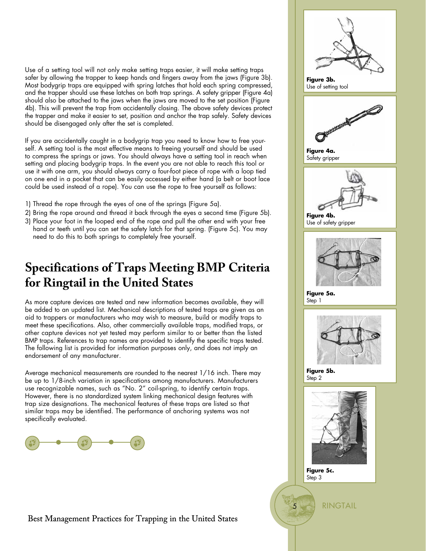Use of a setting tool will not only make setting traps easier, it will make setting traps safer by allowing the trapper to keep hands and fingers away from the jaws (Figure 3b). Most bodygrip traps are equipped with spring latches that hold each spring compressed, and the trapper should use these latches on both trap springs. A safety gripper (Figure 4a) should also be attached to the jaws when the jaws are moved to the set position (Figure 4b). This will prevent the trap from accidentally closing. The above safety devices protect the trapper and make it easier to set, position and anchor the trap safely. Safety devices should be disengaged only after the set is completed.

If you are accidentally caught in a bodygrip trap you need to know how to free yourself. A setting tool is the most effective means to freeing yourself and should be used to compress the springs or jaws. You should always have a setting tool in reach when setting and placing bodygrip traps. In the event you are not able to reach this tool or use it with one arm, you should always carry a four-foot piece of rope with a loop tied on one end in a pocket that can be easily accessed by either hand (a belt or boot lace could be used instead of a rope). You can use the rope to free yourself as follows:

- 1) Thread the rope through the eyes of one of the springs (Figure 5a).
- 2) Bring the rope around and thread it back through the eyes a second time (Figure 5b).
- 3) Place your foot in the looped end of the rope and pull the other end with your free hand or teeth until you can set the safety latch for that spring. (Figure 5c). You may need to do this to both springs to completely free yourself.

# **Specifications of Traps Meeting BMP Criteria for Ringtail in the United States**

As more capture devices are tested and new information becomes available, they will be added to an updated list. Mechanical descriptions of tested traps are given as an aid to trappers or manufacturers who may wish to measure, build or modify traps to meet these specifications. Also, other commercially available traps, modified traps, or other capture devices not yet tested may perform similar to or better than the listed BMP traps. References to trap names are provided to identify the specific traps tested. The following list is provided for information purposes only, and does not imply an endorsement of any manufacturer.

Average mechanical measurements are rounded to the nearest 1/16 inch. There may be up to 1/8-inch variation in specifications among manufacturers. Manufacturers use recognizable names, such as "No. 2" coil-spring, to identify certain traps. However, there is no standardized system linking mechanical design features with trap size designations. The mechanical features of these traps are listed so that similar traps may be identified. The performance of anchoring systems was not specifically evaluated.